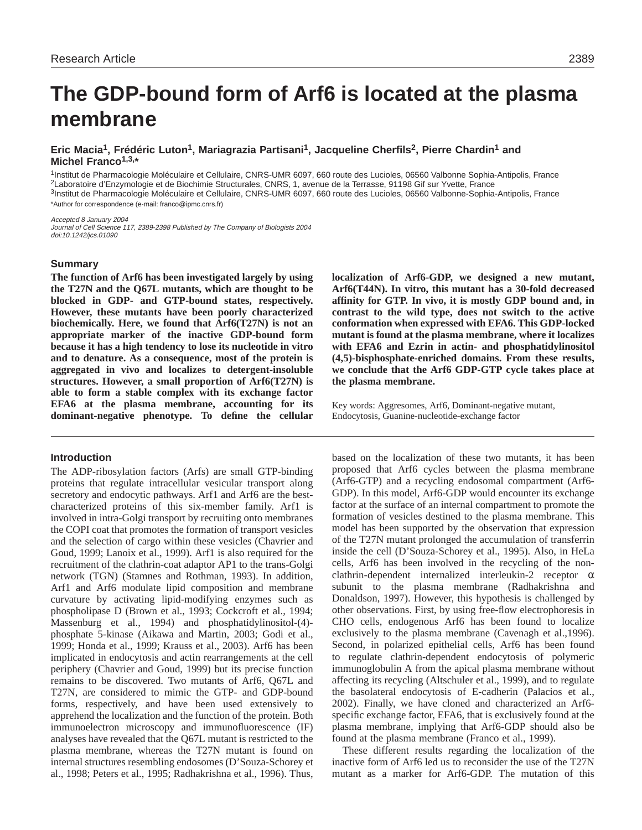# **The GDP-bound form of Arf6 is located at the plasma membrane**

# **Eric Macia1, Frédéric Luton1, Mariagrazia Partisani1, Jacqueline Cherfils2, Pierre Chardin1 and Michel Franco1,3,\***

1Institut de Pharmacologie Moléculaire et Cellulaire, CNRS-UMR 6097, 660 route des Lucioles, 06560 Valbonne Sophia-Antipolis, France 2Laboratoire d'Enzymologie et de Biochimie Structurales, CNRS, 1, avenue de la Terrasse, 91198 Gif sur Yvette, France 3Institut de Pharmacologie Moléculaire et Cellulaire, CNRS-UMR 6097, 660 route des Lucioles, 06560 Valbonne-Sophia-Antipolis, France \*Author for correspondence (e-mail: franco@ipmc.cnrs.fr)

Accepted 8 January 2004 Journal of Cell Science 117, 2389-2398 Published by The Company of Biologists 2004 doi:10.1242/jcs.01090

#### **Summary**

**The function of Arf6 has been investigated largely by using the T27N and the Q67L mutants, which are thought to be blocked in GDP- and GTP-bound states, respectively. However, these mutants have been poorly characterized biochemically. Here, we found that Arf6(T27N) is not an appropriate marker of the inactive GDP-bound form because it has a high tendency to lose its nucleotide in vitro and to denature. As a consequence, most of the protein is aggregated in vivo and localizes to detergent-insoluble structures. However, a small proportion of Arf6(T27N) is able to form a stable complex with its exchange factor EFA6 at the plasma membrane, accounting for its dominant-negative phenotype. To define the cellular**

#### **Introduction**

The ADP-ribosylation factors (Arfs) are small GTP-binding proteins that regulate intracellular vesicular transport along secretory and endocytic pathways. Arf1 and Arf6 are the bestcharacterized proteins of this six-member family. Arf1 is involved in intra-Golgi transport by recruiting onto membranes the COPI coat that promotes the formation of transport vesicles and the selection of cargo within these vesicles (Chavrier and Goud, 1999; Lanoix et al., 1999). Arf1 is also required for the recruitment of the clathrin-coat adaptor AP1 to the trans-Golgi network (TGN) (Stamnes and Rothman, 1993). In addition, Arf1 and Arf6 modulate lipid composition and membrane curvature by activating lipid-modifying enzymes such as phospholipase D (Brown et al., 1993; Cockcroft et al., 1994; Massenburg et al., 1994) and phosphatidylinositol-(4) phosphate 5-kinase (Aikawa and Martin, 2003; Godi et al., 1999; Honda et al., 1999; Krauss et al., 2003). Arf6 has been implicated in endocytosis and actin rearrangements at the cell periphery (Chavrier and Goud, 1999) but its precise function remains to be discovered. Two mutants of Arf6, Q67L and T27N, are considered to mimic the GTP- and GDP-bound forms, respectively, and have been used extensively to apprehend the localization and the function of the protein. Both immunoelectron microscopy and immunofluorescence (IF) analyses have revealed that the Q67L mutant is restricted to the plasma membrane, whereas the T27N mutant is found on internal structures resembling endosomes (D'Souza-Schorey et al., 1998; Peters et al., 1995; Radhakrishna et al., 1996). Thus,

**localization of Arf6-GDP, we designed a new mutant, Arf6(T44N). In vitro, this mutant has a 30-fold decreased affinity for GTP. In vivo, it is mostly GDP bound and, in contrast to the wild type, does not switch to the active conformation when expressed with EFA6. This GDP-locked mutant is found at the plasma membrane, where it localizes with EFA6 and Ezrin in actin- and phosphatidylinositol (4,5)-bisphosphate-enriched domains. From these results, we conclude that the Arf6 GDP-GTP cycle takes place at the plasma membrane.**

Key words: Aggresomes, Arf6, Dominant-negative mutant, Endocytosis, Guanine-nucleotide-exchange factor

based on the localization of these two mutants, it has been proposed that Arf6 cycles between the plasma membrane (Arf6-GTP) and a recycling endosomal compartment (Arf6- GDP). In this model, Arf6-GDP would encounter its exchange factor at the surface of an internal compartment to promote the formation of vesicles destined to the plasma membrane. This model has been supported by the observation that expression of the T27N mutant prolonged the accumulation of transferrin inside the cell (D'Souza-Schorey et al., 1995). Also, in HeLa cells, Arf6 has been involved in the recycling of the nonclathrin-dependent internalized interleukin-2 receptor  $\alpha$ subunit to the plasma membrane (Radhakrishna and Donaldson, 1997). However, this hypothesis is challenged by other observations. First, by using free-flow electrophoresis in CHO cells, endogenous Arf6 has been found to localize exclusively to the plasma membrane (Cavenagh et al.,1996). Second, in polarized epithelial cells, Arf6 has been found to regulate clathrin-dependent endocytosis of polymeric immunoglobulin A from the apical plasma membrane without affecting its recycling (Altschuler et al., 1999), and to regulate the basolateral endocytosis of E-cadherin (Palacios et al., 2002). Finally, we have cloned and characterized an Arf6 specific exchange factor, EFA6, that is exclusively found at the plasma membrane, implying that Arf6-GDP should also be found at the plasma membrane (Franco et al., 1999).

These different results regarding the localization of the inactive form of Arf6 led us to reconsider the use of the T27N mutant as a marker for Arf6-GDP. The mutation of this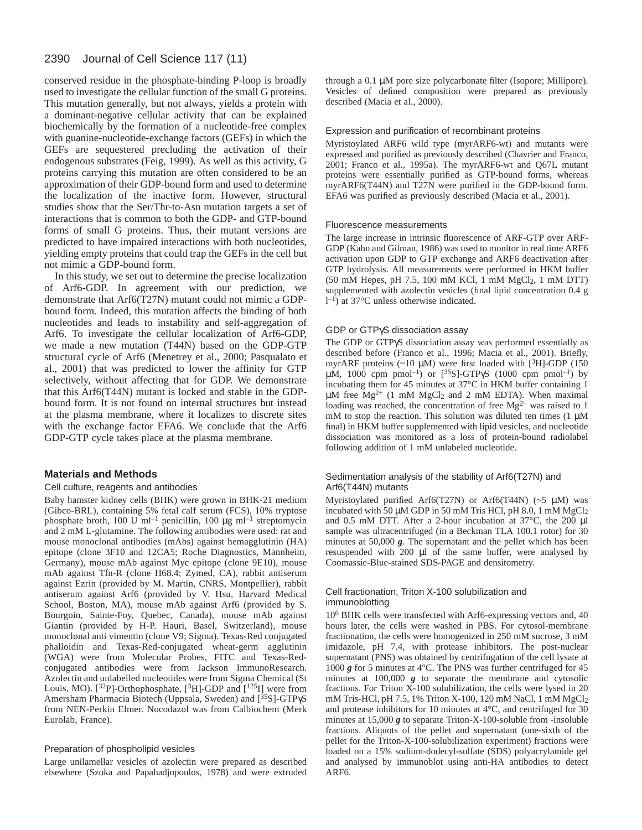conserved residue in the phosphate-binding P-loop is broadly used to investigate the cellular function of the small G proteins. This mutation generally, but not always, yields a protein with a dominant-negative cellular activity that can be explained biochemically by the formation of a nucleotide-free complex with guanine-nucleotide-exchange factors (GEFs) in which the GEFs are sequestered precluding the activation of their endogenous substrates (Feig, 1999). As well as this activity, G proteins carrying this mutation are often considered to be an approximation of their GDP-bound form and used to determine the localization of the inactive form. However, structural studies show that the Ser/Thr-to-Asn mutation targets a set of interactions that is common to both the GDP- and GTP-bound forms of small G proteins. Thus, their mutant versions are predicted to have impaired interactions with both nucleotides, yielding empty proteins that could trap the GEFs in the cell but not mimic a GDP-bound form.

In this study, we set out to determine the precise localization of Arf6-GDP. In agreement with our prediction, we demonstrate that Arf6(T27N) mutant could not mimic a GDPbound form. Indeed, this mutation affects the binding of both nucleotides and leads to instability and self-aggregation of Arf6. To investigate the cellular localization of Arf6-GDP, we made a new mutation (T44N) based on the GDP-GTP structural cycle of Arf6 (Menetrey et al., 2000; Pasqualato et al., 2001) that was predicted to lower the affinity for GTP selectively, without affecting that for GDP. We demonstrate that this Arf6(T44N) mutant is locked and stable in the GDPbound form. It is not found on internal structures but instead at the plasma membrane, where it localizes to discrete sites with the exchange factor EFA6. We conclude that the Arf6 GDP-GTP cycle takes place at the plasma membrane.

## **Materials and Methods**

#### Cell culture, reagents and antibodies

Baby hamster kidney cells (BHK) were grown in BHK-21 medium (Gibco-BRL), containing 5% fetal calf serum (FCS), 10% tryptose phosphate broth, 100 U ml<sup>-1</sup> penicillin, 100  $\mu$ g ml<sup>-1</sup> streptomycin and 2 mM L-glutamine. The following antibodies were used: rat and mouse monoclonal antibodies (mAbs) against hemagglutinin (HA) epitope (clone 3F10 and 12CA5; Roche Diagnostics, Mannheim, Germany), mouse mAb against Myc epitope (clone 9E10), mouse mAb against Tfn-R (clone H68.4; Zymed, CA), rabbit antiserum against Ezrin (provided by M. Martin, CNRS, Montpellier), rabbit antiserum against Arf6 (provided by V. Hsu, Harvard Medical School, Boston, MA), mouse mAb against Arf6 (provided by S. Bourgoin, Sainte-Foy, Quebec, Canada), mouse mAb against Giantin (provided by H-P. Hauri, Basel, Switzerland), mouse monoclonal anti vimentin (clone V9; Sigma). Texas-Red conjugated phalloidin and Texas-Red-conjugated wheat-germ agglutinin (WGA) were from Molecular Probes, FITC and Texas-Redconjugated antibodies were from Jackson ImmunoResearch. Azolectin and unlabelled nucleotides were from Sigma Chemical (St Louis, MO).  $[32P]$ -Orthophosphate,  $[3H]$ -GDP and  $[125]$  were from Amersham Pharmacia Biotech (Uppsala, Sweden) and [<sup>35</sup>S]-GTPγS from NEN-Perkin Elmer. Nocodazol was from Calbiochem (Merk Eurolab, France).

#### Preparation of phospholipid vesicles

Large unilamellar vesicles of azolectin were prepared as described elsewhere (Szoka and Papahadjopoulos, 1978) and were extruded through a 0.1 µM pore size polycarbonate filter (Isopore; Millipore). Vesicles of defined composition were prepared as previously described (Macia et al., 2000).

#### Expression and purification of recombinant proteins

Myristoylated ARF6 wild type (myrARF6-wt) and mutants were expressed and purified as previously described (Chavrier and Franco, 2001; Franco et al., 1995a). The myrARF6-wt and Q67L mutant proteins were essentially purified as GTP-bound forms, whereas myrARF6(T44N) and T27N were purified in the GDP-bound form. EFA6 was purified as previously described (Macia et al., 2001).

#### Fluorescence measurements

The large increase in intrinsic fluorescence of ARF-GTP over ARF-GDP (Kahn and Gilman, 1986) was used to monitor in real time ARF6 activation upon GDP to GTP exchange and ARF6 deactivation after GTP hydrolysis. All measurements were performed in HKM buffer (50 mM Hepes, pH 7.5, 100 mM KCl, 1 mM MgCl2, 1 mM DTT) supplemented with azolectin vesicles (final lipid concentration 0.4 g  $1^{-1}$ ) at 37°C unless otherwise indicated.

## GDP or GTPγS dissociation assay

The GDP or GTPγS dissociation assay was performed essentially as described before (Franco et al., 1996; Macia et al., 2001). Briefly, myrARF proteins  $(\sim 10 \mu M)$  were first loaded with [3H]-GDP (150 μM, 1000 cpm pmol<sup>-1</sup>) or [<sup>35</sup>S]-GTPγS (1000 cpm pmol<sup>-1</sup>) by incubating them for 45 minutes at 37°C in HKM buffer containing 1  $\mu$ M free Mg<sup>2+</sup> (1 mM MgCl<sub>2</sub> and 2 mM EDTA). When maximal loading was reached, the concentration of free  $Mg^{2+}$  was raised to 1 mM to stop the reaction. This solution was diluted ten times  $(1 \mu M)$ final) in HKM buffer supplemented with lipid vesicles, and nucleotide dissociation was monitored as a loss of protein-bound radiolabel following addition of 1 mM unlabeled nucleotide.

## Sedimentation analysis of the stability of Arf6(T27N) and Arf6(T44N) mutants

Myristoylated purified Arf6(T27N) or Arf6(T44N) (~5 µM) was incubated with 50 µM GDP in 50 mM Tris HCl, pH 8.0, 1 mM MgCl<sub>2</sub> and 0.5 mM DTT. After a 2-hour incubation at 37°C, the 200 µl sample was ultracentrifuged (in a Beckman TLA 100.1 rotor) for 30 minutes at 50,000 *g*. The supernatant and the pellet which has been resuspended with 200 µl of the same buffer, were analysed by Coomassie-Blue-stained SDS-PAGE and densitometry.

#### Cell fractionation, Triton X-100 solubilization and immunoblotting

10<sup>6</sup> BHK cells were transfected with Arf6-expressing vectors and, 40 hours later, the cells were washed in PBS. For cytosol-membrane fractionation, the cells were homogenized in 250 mM sucrose, 3 mM imidazole, pH 7.4, with protease inhibitors. The post-nuclear supernatant (PNS) was obtained by centrifugation of the cell lysate at 1000 *g* for 5 minutes at 4°C. The PNS was further centrifuged for 45 minutes at 100,000 *g* to separate the membrane and cytosolic fractions. For Triton X-100 solubilization, the cells were lysed in 20 mM Tris-HCl, pH 7.5, 1% Triton X-100, 120 mM NaCl, 1 mM MgCl2 and protease inhibitors for 10 minutes at 4°C, and centrifuged for 30 minutes at 15,000 *g* to separate Triton-X-100-soluble from -insoluble fractions. Aliquots of the pellet and supernatant (one-sixth of the pellet for the Triton-X-100-solubilization experiment) fractions were loaded on a 15% sodium-dodecyl-sulfate (SDS) polyacrylamide gel and analysed by immunoblot using anti-HA antibodies to detect ARF6.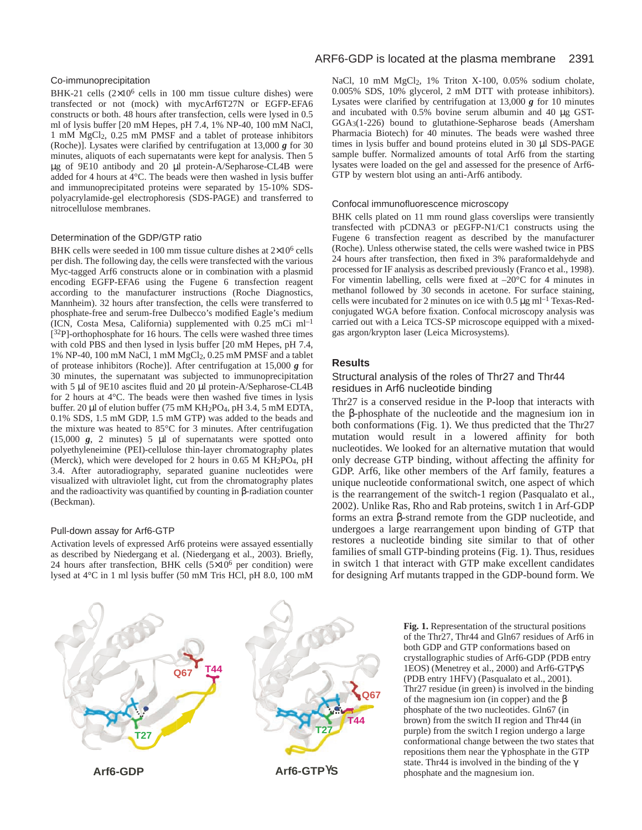## Co-immunoprecipitation

BHK-21 cells  $(2\times10^6 \text{ cells in } 100 \text{ mm}$  tissue culture dishes) were transfected or not (mock) with mycArf6T27N or EGFP-EFA6 constructs or both. 48 hours after transfection, cells were lysed in 0.5 ml of lysis buffer [20 mM Hepes, pH 7.4, 1% NP-40, 100 mM NaCl, 1 mM MgCl2, 0.25 mM PMSF and a tablet of protease inhibitors (Roche)]. Lysates were clarified by centrifugation at 13,000 *g* for 30 minutes, aliquots of each supernatants were kept for analysis. Then 5 µg of 9E10 antibody and 20 µl protein-A/Sepharose-CL4B were added for 4 hours at 4°C. The beads were then washed in lysis buffer and immunoprecipitated proteins were separated by 15-10% SDSpolyacrylamide-gel electrophoresis (SDS-PAGE) and transferred to nitrocellulose membranes.

#### Determination of the GDP/GTP ratio

BHK cells were seeded in 100 mm tissue culture dishes at 2×106 cells per dish. The following day, the cells were transfected with the various Myc-tagged Arf6 constructs alone or in combination with a plasmid encoding EGFP-EFA6 using the Fugene 6 transfection reagent according to the manufacturer instructions (Roche Diagnostics, Mannheim). 32 hours after transfection, the cells were transferred to phosphate-free and serum-free Dulbecco's modified Eagle's medium (ICN, Costa Mesa, California) supplemented with  $0.25$  mCi ml<sup>-1</sup>  $[3^{32}P]$ -orthophosphate for 16 hours. The cells were washed three times with cold PBS and then lysed in lysis buffer [20 mM Hepes, pH 7.4, 1% NP-40, 100 mM NaCl, 1 mM MgCl2, 0.25 mM PMSF and a tablet of protease inhibitors (Roche)]. After centrifugation at 15,000 *g* for 30 minutes, the supernatant was subjected to immunoprecipitation with 5 µl of 9E10 ascites fluid and 20 µl protein-A/Sepharose-CL4B for 2 hours at 4°C. The beads were then washed five times in lysis buffer. 20 µl of elution buffer (75 mM KH<sub>2</sub>PO<sub>4</sub>, pH 3.4, 5 mM EDTA, 0.1% SDS, 1.5 mM GDP, 1.5 mM GTP) was added to the beads and the mixture was heated to 85°C for 3 minutes. After centrifugation (15,000 *g*, 2 minutes) 5 µl of supernatants were spotted onto polyethyleneimine (PEI)-cellulose thin-layer chromatography plates (Merck), which were developed for 2 hours in 0.65 M  $KH_2PO_4$ , pH 3.4. After autoradiography, separated guanine nucleotides were visualized with ultraviolet light, cut from the chromatography plates and the radioactivity was quantified by counting in β-radiation counter (Beckman).

## Pull-down assay for Arf6-GTP

Activation levels of expressed Arf6 proteins were assayed essentially as described by Niedergang et al. (Niedergang et al., 2003). Briefly, 24 hours after transfection, BHK cells  $(5\times10^6$  per condition) were lysed at 4°C in 1 ml lysis buffer (50 mM Tris HCl, pH 8.0, 100 mM

## ARF6-GDP is located at the plasma membrane 2391

NaCl, 10 mM MgCl<sub>2</sub>, 1% Triton X-100, 0.05% sodium cholate, 0.005% SDS, 10% glycerol, 2 mM DTT with protease inhibitors). Lysates were clarified by centrifugation at 13,000 *g* for 10 minutes and incubated with 0.5% bovine serum albumin and 40 µg GST-GGA3(1-226) bound to glutathione-Sepharose beads (Amersham Pharmacia Biotech) for 40 minutes. The beads were washed three times in lysis buffer and bound proteins eluted in 30 µl SDS-PAGE sample buffer. Normalized amounts of total Arf6 from the starting lysates were loaded on the gel and assessed for the presence of Arf6- GTP by western blot using an anti-Arf6 antibody.

#### Confocal immunofluorescence microscopy

BHK cells plated on 11 mm round glass coverslips were transiently transfected with pCDNA3 or pEGFP-N1/C1 constructs using the Fugene 6 transfection reagent as described by the manufacturer (Roche). Unless otherwise stated, the cells were washed twice in PBS 24 hours after transfection, then fixed in 3% paraformaldehyde and processed for IF analysis as described previously (Franco et al., 1998). For vimentin labelling, cells were fixed at  $-20^{\circ}$ C for 4 minutes in methanol followed by 30 seconds in acetone. For surface staining, cells were incubated for 2 minutes on ice with  $0.5 \mu g$  ml<sup>-1</sup> Texas-Redconjugated WGA before fixation. Confocal microscopy analysis was carried out with a Leica TCS-SP microscope equipped with a mixedgas argon/krypton laser (Leica Microsystems).

# **Results**

## Structural analysis of the roles of Thr27 and Thr44 residues in Arf6 nucleotide binding

Thr27 is a conserved residue in the P-loop that interacts with the β-phosphate of the nucleotide and the magnesium ion in both conformations (Fig. 1). We thus predicted that the Thr27 mutation would result in a lowered affinity for both nucleotides. We looked for an alternative mutation that would only decrease GTP binding, without affecting the affinity for GDP. Arf6, like other members of the Arf family, features a unique nucleotide conformational switch, one aspect of which is the rearrangement of the switch-1 region (Pasqualato et al., 2002). Unlike Ras, Rho and Rab proteins, switch 1 in Arf-GDP forms an extra β-strand remote from the GDP nucleotide, and undergoes a large rearrangement upon binding of GTP that restores a nucleotide binding site similar to that of other families of small GTP-binding proteins (Fig. 1). Thus, residues in switch 1 that interact with GTP make excellent candidates for designing Arf mutants trapped in the GDP-bound form. We



**Fig. 1.** Representation of the structural positions of the Thr27, Thr44 and Gln67 residues of Arf6 in both GDP and GTP conformations based on crystallographic studies of Arf6-GDP (PDB entry 1EOS) (Menetrey et al., 2000) and Arf6-GTPγS (PDB entry 1HFV) (Pasqualato et al., 2001). Thr27 residue (in green) is involved in the binding of the magnesium ion (in copper) and the β phosphate of the two nucleotides. Gln67 (in brown) from the switch II region and Thr44 (in purple) from the switch I region undergo a large conformational change between the two states that repositions them near the γ phosphate in the GTP state. Thr44 is involved in the binding of the  $\gamma$ phosphate and the magnesium ion.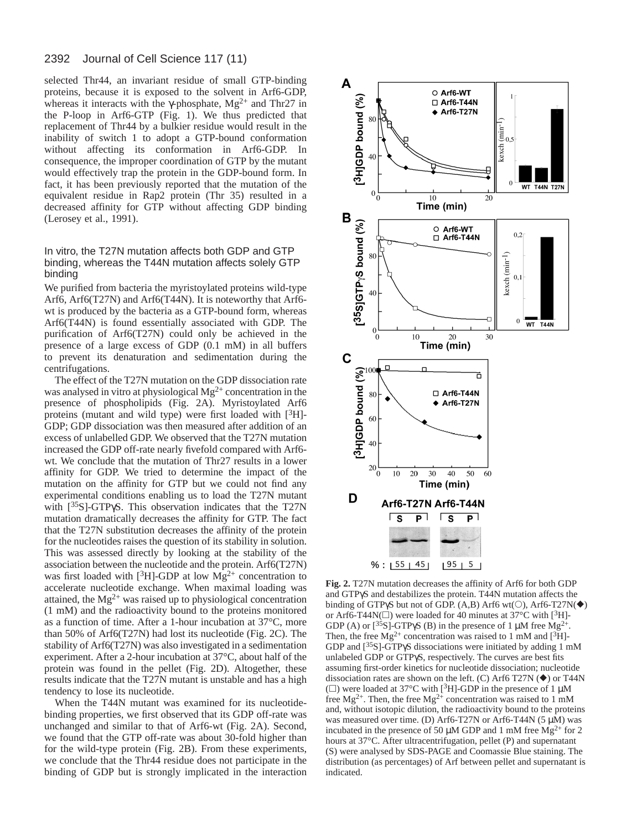selected Thr44, an invariant residue of small GTP-binding proteins, because it is exposed to the solvent in Arf6-GDP, whereas it interacts with the γ-phosphate,  $Mg^{2+}$  and Thr27 in the P-loop in Arf6-GTP (Fig. 1). We thus predicted that replacement of Thr44 by a bulkier residue would result in the inability of switch 1 to adopt a GTP-bound conformation without affecting its conformation in Arf6-GDP. In consequence, the improper coordination of GTP by the mutant would effectively trap the protein in the GDP-bound form. In fact, it has been previously reported that the mutation of the equivalent residue in Rap2 protein (Thr 35) resulted in a decreased affinity for GTP without affecting GDP binding (Lerosey et al., 1991).

# In vitro, the T27N mutation affects both GDP and GTP binding, whereas the T44N mutation affects solely GTP binding

We purified from bacteria the myristoylated proteins wild-type Arf6, Arf6(T27N) and Arf6(T44N). It is noteworthy that Arf6 wt is produced by the bacteria as a GTP-bound form, whereas Arf6(T44N) is found essentially associated with GDP. The purification of Arf6(T27N) could only be achieved in the presence of a large excess of GDP (0.1 mM) in all buffers to prevent its denaturation and sedimentation during the centrifugations.

The effect of the T27N mutation on the GDP dissociation rate was analysed in vitro at physiological  $Mg^{2+}$  concentration in the presence of phospholipids (Fig. 2A). Myristoylated Arf6 proteins (mutant and wild type) were first loaded with  $[3H]$ -GDP; GDP dissociation was then measured after addition of an excess of unlabelled GDP. We observed that the T27N mutation increased the GDP off-rate nearly fivefold compared with Arf6 wt. We conclude that the mutation of Thr27 results in a lower affinity for GDP. We tried to determine the impact of the mutation on the affinity for GTP but we could not find any experimental conditions enabling us to load the T27N mutant with [35S]-GTPγS. This observation indicates that the T27N mutation dramatically decreases the affinity for GTP. The fact that the T27N substitution decreases the affinity of the protein for the nucleotides raises the question of its stability in solution. This was assessed directly by looking at the stability of the association between the nucleotide and the protein. Arf6(T27N) was first loaded with [ $3H$ ]-GDP at low Mg<sup>2+</sup> concentration to accelerate nucleotide exchange. When maximal loading was attained, the  $Mg^{2+}$  was raised up to physiological concentration (1 mM) and the radioactivity bound to the proteins monitored as a function of time. After a 1-hour incubation at 37°C, more than 50% of Arf6(T27N) had lost its nucleotide (Fig. 2C). The stability of Arf6(T27N) was also investigated in a sedimentation experiment. After a 2-hour incubation at 37°C, about half of the protein was found in the pellet (Fig. 2D). Altogether, these results indicate that the T27N mutant is unstable and has a high tendency to lose its nucleotide.

When the T44N mutant was examined for its nucleotidebinding properties, we first observed that its GDP off-rate was unchanged and similar to that of Arf6-wt (Fig. 2A). Second, we found that the GTP off-rate was about 30-fold higher than for the wild-type protein (Fig. 2B). From these experiments, we conclude that the Thr44 residue does not participate in the binding of GDP but is strongly implicated in the interaction



**Fig. 2.** T27N mutation decreases the affinity of Arf6 for both GDP and GTPγS and destabilizes the protein. T44N mutation affects the binding of GTPγS but not of GDP. (A,B) Arf6 wt( $\circ$ ), Arf6-T27N( $\blacklozenge$ ) or Arf6-T44N( $\Box$ ) were loaded for 40 minutes at 37°C with [3H]-GDP (A) or  $[^{35}S]$ -GTP $\gamma S$  (B) in the presence of 1 µM free Mg<sup>2+</sup>. Then, the free  $Mg^{2+}$  concentration was raised to 1 mM and [<sup>3</sup>H]-GDP and [35S]-GTPγS dissociations were initiated by adding 1 mM unlabeled GDP or GTPγS, respectively. The curves are best fits assuming first-order kinetics for nucleotide dissociation; nucleotide dissociation rates are shown on the left. (C) Arf6 T27N  $(\blacklozenge)$  or T44N ( $\square$ ) were loaded at 37°C with [<sup>3</sup>H]-GDP in the presence of 1  $\mu$ M free Mg<sup>2+</sup>. Then, the free Mg<sup>2+</sup> concentration was raised to 1 mM and, without isotopic dilution, the radioactivity bound to the proteins was measured over time. (D) Arf6-T27N or Arf6-T44N (5 µM) was incubated in the presence of 50  $\mu$ M GDP and 1 mM free Mg<sup>2+</sup> for 2 hours at 37°C. After ultracentrifugation, pellet (P) and supernatant (S) were analysed by SDS-PAGE and Coomassie Blue staining. The distribution (as percentages) of Arf between pellet and supernatant is indicated.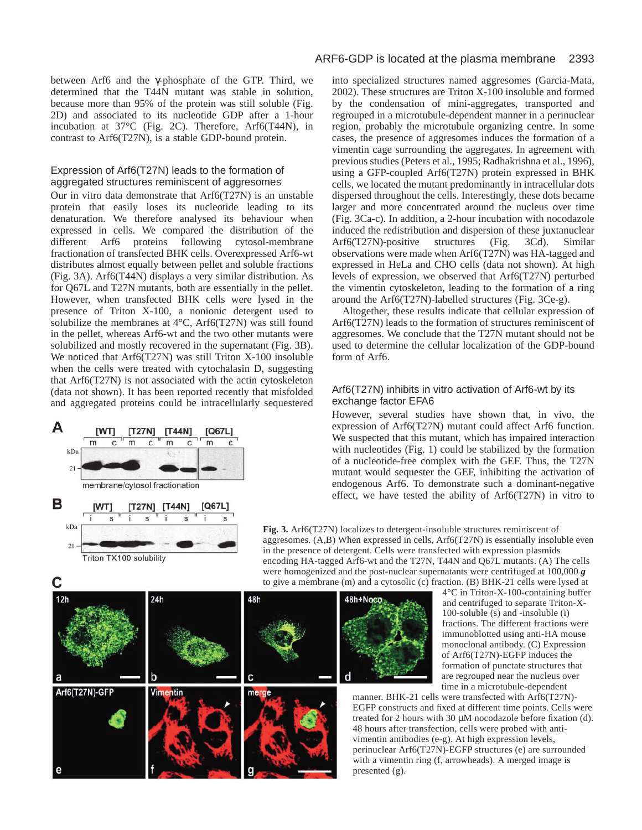between Arf6 and the γ-phosphate of the GTP. Third, we determined that the T44N mutant was stable in solution, because more than 95% of the protein was still soluble (Fig. 2D) and associated to its nucleotide GDP after a 1-hour incubation at 37°C (Fig. 2C). Therefore, Arf6(T44N), in contrast to Arf6(T27N), is a stable GDP-bound protein.

## Expression of Arf6(T27N) leads to the formation of aggregated structures reminiscent of aggresomes

Our in vitro data demonstrate that Arf6(T27N) is an unstable protein that easily loses its nucleotide leading to its denaturation. We therefore analysed its behaviour when expressed in cells. We compared the distribution of the different Arf6 proteins following cytosol-membrane fractionation of transfected BHK cells. Overexpressed Arf6-wt distributes almost equally between pellet and soluble fractions (Fig. 3A). Arf6(T44N) displays a very similar distribution. As for Q67L and T27N mutants, both are essentially in the pellet. However, when transfected BHK cells were lysed in the presence of Triton X-100, a nonionic detergent used to solubilize the membranes at 4°C, Arf6(T27N) was still found in the pellet, whereas Arf6-wt and the two other mutants were solubilized and mostly recovered in the supernatant (Fig. 3B). We noticed that Arf6(T27N) was still Triton X-100 insoluble when the cells were treated with cytochalasin D, suggesting that Arf6(T27N) is not associated with the actin cytoskeleton (data not shown). It has been reported recently that misfolded and aggregated proteins could be intracellularly sequestered





C

into specialized structures named aggresomes (Garcia-Mata, 2002). These structures are Triton X-100 insoluble and formed by the condensation of mini-aggregates, transported and regrouped in a microtubule-dependent manner in a perinuclear region, probably the microtubule organizing centre. In some cases, the presence of aggresomes induces the formation of a vimentin cage surrounding the aggregates. In agreement with previous studies (Peters et al., 1995; Radhakrishna et al., 1996), using a GFP-coupled Arf6(T27N) protein expressed in BHK cells, we located the mutant predominantly in intracellular dots dispersed throughout the cells. Interestingly, these dots became larger and more concentrated around the nucleus over time (Fig. 3Ca-c). In addition, a 2-hour incubation with nocodazole induced the redistribution and dispersion of these juxtanuclear<br>Arf6(T27N)-positive structures (Fig. 3Cd). Similar Arf6(T27N)-positive structures (Fig. 3Cd). Similar observations were made when Arf6(T27N) was HA-tagged and expressed in HeLa and CHO cells (data not shown). At high levels of expression, we observed that Arf6(T27N) perturbed the vimentin cytoskeleton, leading to the formation of a ring around the Arf6(T27N)-labelled structures (Fig. 3Ce-g).

Altogether, these results indicate that cellular expression of Arf6(T27N) leads to the formation of structures reminiscent of aggresomes. We conclude that the T27N mutant should not be used to determine the cellular localization of the GDP-bound form of Arf6.

## Arf6(T27N) inhibits in vitro activation of Arf6-wt by its exchange factor EFA6

However, several studies have shown that, in vivo, the expression of Arf6(T27N) mutant could affect Arf6 function. We suspected that this mutant, which has impaired interaction with nucleotides (Fig. 1) could be stabilized by the formation of a nucleotide-free complex with the GEF. Thus, the T27N mutant would sequester the GEF, inhibiting the activation of endogenous Arf6. To demonstrate such a dominant-negative effect, we have tested the ability of Arf6(T27N) in vitro to

**Fig. 3.** Arf6(T27N) localizes to detergent-insoluble structures reminiscent of aggresomes. (A,B) When expressed in cells, Arf6(T27N) is essentially insoluble even in the presence of detergent. Cells were transfected with expression plasmids encoding HA-tagged Arf6-wt and the T27N, T44N and Q67L mutants. (A) The cells were homogenized and the post-nuclear supernatants were centrifuged at 100,000 *g* to give a membrane (m) and a cytosolic (c) fraction. (B) BHK-21 cells were lysed at



4°C in Triton-X-100-containing buffer and centrifuged to separate Triton-X-100-soluble (s) and -insoluble (i) fractions. The different fractions were immunoblotted using anti-HA mouse monoclonal antibody. (C) Expression of Arf6(T27N)-EGFP induces the formation of punctate structures that are regrouped near the nucleus over time in a microtubule-dependent

manner. BHK-21 cells were transfected with Arf6(T27N)- EGFP constructs and fixed at different time points. Cells were treated for 2 hours with 30 µM nocodazole before fixation (d). 48 hours after transfection, cells were probed with antivimentin antibodies (e-g). At high expression levels, perinuclear Arf6(T27N)-EGFP structures (e) are surrounded with a vimentin ring (f, arrowheads). A merged image is presented (g).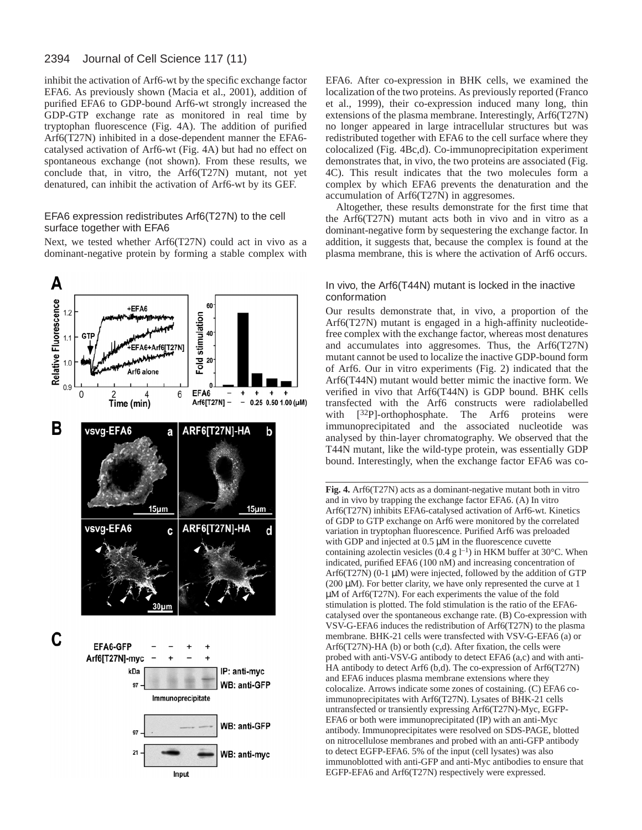inhibit the activation of Arf6-wt by the specific exchange factor EFA6. As previously shown (Macia et al., 2001), addition of purified EFA6 to GDP-bound Arf6-wt strongly increased the GDP-GTP exchange rate as monitored in real time by tryptophan fluorescence (Fig. 4A). The addition of purified Arf6(T27N) inhibited in a dose-dependent manner the EFA6 catalysed activation of Arf6-wt (Fig. 4A) but had no effect on spontaneous exchange (not shown). From these results, we conclude that, in vitro, the Arf6(T27N) mutant, not yet denatured, can inhibit the activation of Arf6-wt by its GEF.

## EFA6 expression redistributes Arf6(T27N) to the cell surface together with EFA6

Next, we tested whether Arf6(T27N) could act in vivo as a dominant-negative protein by forming a stable complex with



EFA6. After co-expression in BHK cells, we examined the localization of the two proteins. As previously reported (Franco et al., 1999), their co-expression induced many long, thin extensions of the plasma membrane. Interestingly, Arf6(T27N) no longer appeared in large intracellular structures but was redistributed together with EFA6 to the cell surface where they colocalized (Fig. 4Bc,d). Co-immunoprecipitation experiment demonstrates that, in vivo, the two proteins are associated (Fig. 4C). This result indicates that the two molecules form a complex by which EFA6 prevents the denaturation and the accumulation of Arf6(T27N) in aggresomes.

Altogether, these results demonstrate for the first time that the Arf6(T27N) mutant acts both in vivo and in vitro as a dominant-negative form by sequestering the exchange factor. In addition, it suggests that, because the complex is found at the plasma membrane, this is where the activation of Arf6 occurs.

## In vivo, the Arf6(T44N) mutant is locked in the inactive conformation

Our results demonstrate that, in vivo, a proportion of the Arf6(T27N) mutant is engaged in a high-affinity nucleotidefree complex with the exchange factor, whereas most denatures and accumulates into aggresomes. Thus, the Arf6(T27N) mutant cannot be used to localize the inactive GDP-bound form of Arf6. Our in vitro experiments (Fig. 2) indicated that the Arf6(T44N) mutant would better mimic the inactive form. We verified in vivo that Arf6(T44N) is GDP bound. BHK cells transfected with the Arf6 constructs were radiolabelled with  $[3^{2}P]$ -orthophosphate. The Arf6 proteins were immunoprecipitated and the associated nucleotide was analysed by thin-layer chromatography. We observed that the T44N mutant, like the wild-type protein, was essentially GDP bound. Interestingly, when the exchange factor EFA6 was co-

**Fig. 4.** Arf6(T27N) acts as a dominant-negative mutant both in vitro and in vivo by trapping the exchange factor EFA6. (A) In vitro Arf6(T27N) inhibits EFA6-catalysed activation of Arf6-wt. Kinetics of GDP to GTP exchange on Arf6 were monitored by the correlated variation in tryptophan fluorescence. Purified Arf6 was preloaded with GDP and injected at  $0.5 \mu$ M in the fluorescence cuvette containing azolectin vesicles (0.4 g  $l^{-1}$ ) in HKM buffer at 30°C. When indicated, purified EFA6 (100 nM) and increasing concentration of Arf6(T27N) (0-1 µM) were injected, followed by the addition of GTP ( $200 \mu$ M). For better clarity, we have only represented the curve at 1 µM of Arf6(T27N). For each experiments the value of the fold stimulation is plotted. The fold stimulation is the ratio of the EFA6 catalysed over the spontaneous exchange rate. (B) Co-expression with VSV-G-EFA6 induces the redistribution of Arf6(T27N) to the plasma membrane. BHK-21 cells were transfected with VSV-G-EFA6 (a) or Arf6(T27N)-HA (b) or both (c,d). After fixation, the cells were probed with anti-VSV-G antibody to detect EFA6 (a,c) and with anti-HA antibody to detect Arf6 (b,d). The co-expression of Arf6(T27N) and EFA6 induces plasma membrane extensions where they colocalize. Arrows indicate some zones of costaining. (C) EFA6 coimmunoprecipitates with Arf6(T27N). Lysates of BHK-21 cells untransfected or transiently expressing Arf6(T27N)-Myc, EGFP-EFA6 or both were immunoprecipitated (IP) with an anti-Myc antibody. Immunoprecipitates were resolved on SDS-PAGE, blotted on nitrocellulose membranes and probed with an anti-GFP antibody to detect EGFP-EFA6. 5% of the input (cell lysates) was also immunoblotted with anti-GFP and anti-Myc antibodies to ensure that EGFP-EFA6 and Arf6(T27N) respectively were expressed.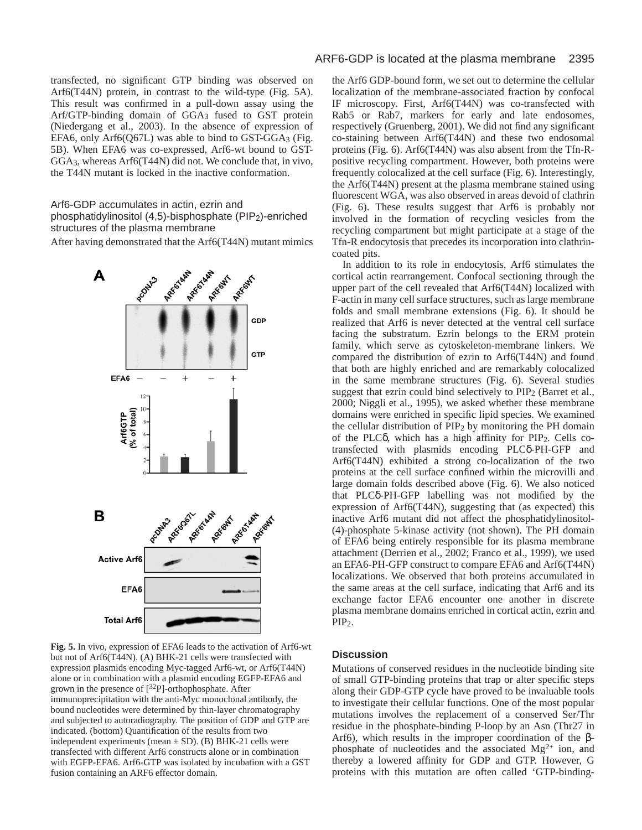transfected, no significant GTP binding was observed on Arf6(T44N) protein, in contrast to the wild-type (Fig. 5A). This result was confirmed in a pull-down assay using the Arf/GTP-binding domain of GGA3 fused to GST protein (Niedergang et al., 2003). In the absence of expression of EFA6, only Arf6(Q67L) was able to bind to  $\text{GST-GGA}_3$  (Fig. 5B). When EFA6 was co-expressed, Arf6-wt bound to GST-GGA3, whereas Arf6(T44N) did not. We conclude that, in vivo, the T44N mutant is locked in the inactive conformation.

# Arf6-GDP accumulates in actin, ezrin and

phosphatidylinositol (4,5)-bisphosphate (PIP2)-enriched structures of the plasma membrane

After having demonstrated that the Arf6(T44N) mutant mimics



**Fig. 5.** In vivo*,* expression of EFA6 leads to the activation of Arf6-wt but not of Arf6(T44N). (A) BHK-21 cells were transfected with expression plasmids encoding Myc-tagged Arf6-wt, or Arf6(T44N) alone or in combination with a plasmid encoding EGFP-EFA6 and grown in the presence of  $[32P]$ -orthophosphate. After immunoprecipitation with the anti-Myc monoclonal antibody, the bound nucleotides were determined by thin-layer chromatography and subjected to autoradiography. The position of GDP and GTP are indicated. (bottom) Quantification of the results from two independent experiments (mean  $\pm$  SD). (B) BHK-21 cells were transfected with different Arf6 constructs alone or in combination with EGFP-EFA6. Arf6-GTP was isolated by incubation with a GST fusion containing an ARF6 effector domain.

the Arf6 GDP-bound form, we set out to determine the cellular localization of the membrane-associated fraction by confocal IF microscopy. First, Arf6(T44N) was co-transfected with Rab5 or Rab7, markers for early and late endosomes, respectively (Gruenberg, 2001). We did not find any significant co-staining between Arf6(T44N) and these two endosomal proteins (Fig. 6). Arf6(T44N) was also absent from the Tfn-Rpositive recycling compartment. However, both proteins were frequently colocalized at the cell surface (Fig. 6). Interestingly, the Arf6(T44N) present at the plasma membrane stained using fluorescent WGA, was also observed in areas devoid of clathrin (Fig. 6). These results suggest that Arf6 is probably not involved in the formation of recycling vesicles from the recycling compartment but might participate at a stage of the Tfn-R endocytosis that precedes its incorporation into clathrincoated pits.

In addition to its role in endocytosis, Arf6 stimulates the cortical actin rearrangement. Confocal sectioning through the upper part of the cell revealed that Arf6(T44N) localized with F-actin in many cell surface structures, such as large membrane folds and small membrane extensions (Fig. 6). It should be realized that Arf6 is never detected at the ventral cell surface facing the substratum. Ezrin belongs to the ERM protein family, which serve as cytoskeleton-membrane linkers. We compared the distribution of ezrin to Arf6(T44N) and found that both are highly enriched and are remarkably colocalized in the same membrane structures (Fig. 6). Several studies suggest that ezrin could bind selectively to PIP2 (Barret et al., 2000; Niggli et al., 1995), we asked whether these membrane domains were enriched in specific lipid species. We examined the cellular distribution of PIP2 by monitoring the PH domain of the PLCδ, which has a high affinity for PIP2. Cells cotransfected with plasmids encoding PLCδ-PH-GFP and Arf6(T44N) exhibited a strong co-localization of the two proteins at the cell surface confined within the microvilli and large domain folds described above (Fig. 6). We also noticed that PLCδ-PH-GFP labelling was not modified by the expression of Arf6(T44N), suggesting that (as expected) this inactive Arf6 mutant did not affect the phosphatidylinositol- (4)-phosphate 5-kinase activity (not shown). The PH domain of EFA6 being entirely responsible for its plasma membrane attachment (Derrien et al., 2002; Franco et al., 1999), we used an EFA6-PH-GFP construct to compare EFA6 and Arf6(T44N) localizations. We observed that both proteins accumulated in the same areas at the cell surface, indicating that Arf6 and its exchange factor EFA6 encounter one another in discrete plasma membrane domains enriched in cortical actin, ezrin and PIP<sub>2</sub>.

## **Discussion**

Mutations of conserved residues in the nucleotide binding site of small GTP-binding proteins that trap or alter specific steps along their GDP-GTP cycle have proved to be invaluable tools to investigate their cellular functions. One of the most popular mutations involves the replacement of a conserved Ser/Thr residue in the phosphate-binding P-loop by an Asn (Thr27 in Arf6), which results in the improper coordination of the βphosphate of nucleotides and the associated  $Mg^{2+}$  ion, and thereby a lowered affinity for GDP and GTP. However, G proteins with this mutation are often called 'GTP-binding-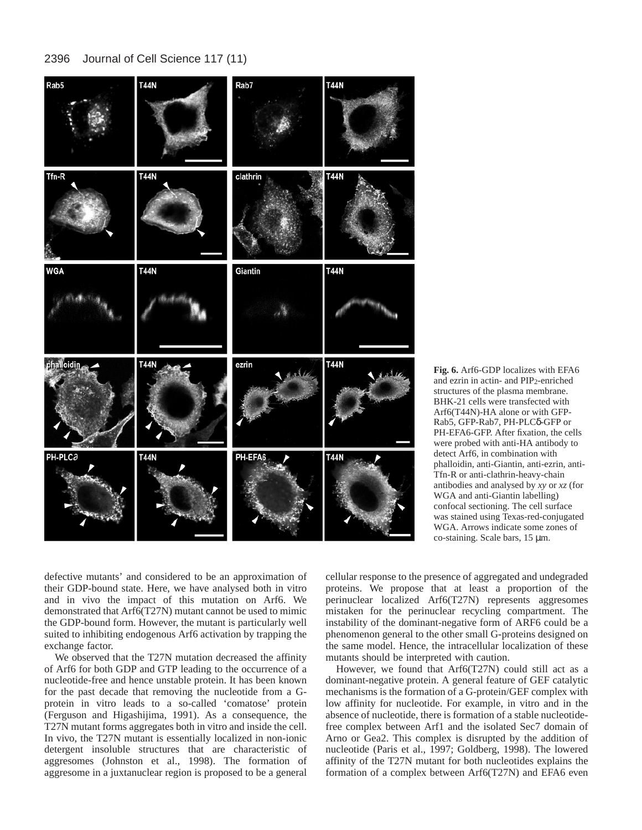

**Fig. 6.** Arf6-GDP localizes with EFA6 and ezrin in actin- and PIP2-enriched structures of the plasma membrane. BHK-21 cells were transfected with Arf6(T44N)-HA alone or with GFP-Rab5, GFP-Rab7, PH-PLCδ-GFP or PH-EFA6-GFP. After fixation, the cells were probed with anti-HA antibody to detect Arf6, in combination with phalloidin, anti-Giantin, anti-ezrin, anti-Tfn-R or anti-clathrin-heavy-chain antibodies and analysed by *xy* or *xz* (for WGA and anti-Giantin labelling) confocal sectioning. The cell surface was stained using Texas-red-conjugated WGA. Arrows indicate some zones of co-staining. Scale bars, 15 µm.

defective mutants' and considered to be an approximation of their GDP-bound state. Here, we have analysed both in vitro and in vivo the impact of this mutation on Arf6. We demonstrated that Arf6(T27N) mutant cannot be used to mimic the GDP-bound form. However, the mutant is particularly well suited to inhibiting endogenous Arf6 activation by trapping the exchange factor.

We observed that the T27N mutation decreased the affinity of Arf6 for both GDP and GTP leading to the occurrence of a nucleotide-free and hence unstable protein. It has been known for the past decade that removing the nucleotide from a Gprotein in vitro leads to a so-called 'comatose' protein (Ferguson and Higashijima, 1991). As a consequence, the T27N mutant forms aggregates both in vitro and inside the cell. In vivo, the T27N mutant is essentially localized in non-ionic detergent insoluble structures that are characteristic of aggresomes (Johnston et al., 1998). The formation of aggresome in a juxtanuclear region is proposed to be a general cellular response to the presence of aggregated and undegraded proteins. We propose that at least a proportion of the perinuclear localized Arf6(T27N) represents aggresomes mistaken for the perinuclear recycling compartment. The instability of the dominant-negative form of ARF6 could be a phenomenon general to the other small G-proteins designed on the same model. Hence, the intracellular localization of these mutants should be interpreted with caution.

However, we found that Arf6(T27N) could still act as a dominant-negative protein. A general feature of GEF catalytic mechanisms is the formation of a G-protein/GEF complex with low affinity for nucleotide. For example, in vitro and in the absence of nucleotide, there is formation of a stable nucleotidefree complex between Arf1 and the isolated Sec7 domain of Arno or Gea2. This complex is disrupted by the addition of nucleotide (Paris et al., 1997; Goldberg, 1998). The lowered affinity of the T27N mutant for both nucleotides explains the formation of a complex between Arf6(T27N) and EFA6 even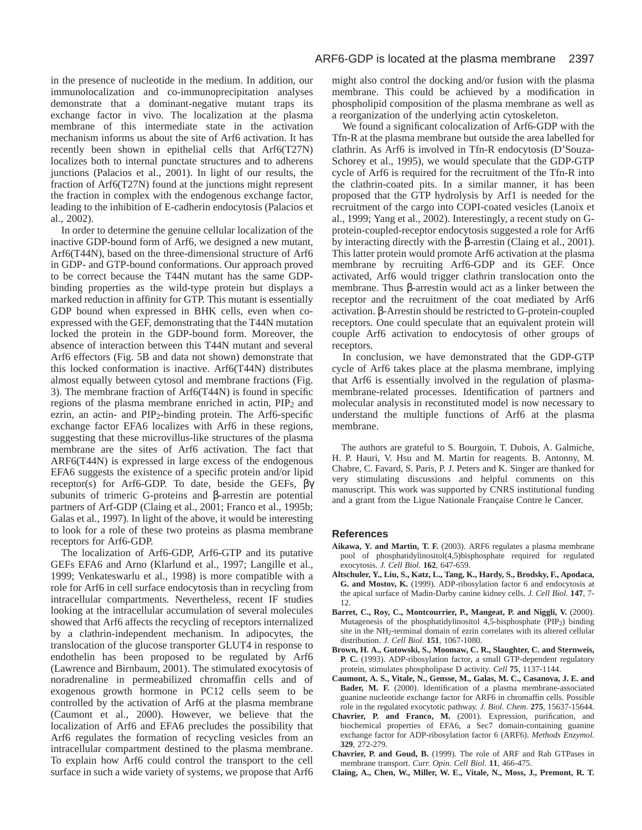in the presence of nucleotide in the medium. In addition, our immunolocalization and co-immunoprecipitation analyses demonstrate that a dominant-negative mutant traps its exchange factor in vivo. The localization at the plasma membrane of this intermediate state in the activation mechanism informs us about the site of Arf6 activation. It has recently been shown in epithelial cells that Arf6(T27N) localizes both to internal punctate structures and to adherens junctions (Palacios et al., 2001). In light of our results, the fraction of Arf6(T27N) found at the junctions might represent the fraction in complex with the endogenous exchange factor, leading to the inhibition of E-cadherin endocytosis (Palacios et al., 2002).

In order to determine the genuine cellular localization of the inactive GDP-bound form of Arf6, we designed a new mutant, Arf6(T44N), based on the three-dimensional structure of Arf6 in GDP- and GTP-bound conformations. Our approach proved to be correct because the T44N mutant has the same GDPbinding properties as the wild-type protein but displays a marked reduction in affinity for GTP. This mutant is essentially GDP bound when expressed in BHK cells, even when coexpressed with the GEF, demonstrating that the T44N mutation locked the protein in the GDP-bound form. Moreover, the absence of interaction between this T44N mutant and several Arf6 effectors (Fig. 5B and data not shown) demonstrate that this locked conformation is inactive. Arf6(T44N) distributes almost equally between cytosol and membrane fractions (Fig. 3). The membrane fraction of Arf6(T44N) is found in specific regions of the plasma membrane enriched in actin, PIP2 and ezrin, an actin- and PIP2-binding protein. The Arf6-specific exchange factor EFA6 localizes with Arf6 in these regions, suggesting that these microvillus-like structures of the plasma membrane are the sites of Arf6 activation. The fact that ARF6(T44N) is expressed in large excess of the endogenous EFA6 suggests the existence of a specific protein and/or lipid receptor(s) for Arf6-GDP. To date, beside the GEFs, βγ subunits of trimeric G-proteins and β-arrestin are potential partners of Arf-GDP (Claing et al., 2001; Franco et al., 1995b; Galas et al., 1997). In light of the above, it would be interesting to look for a role of these two proteins as plasma membrane receptors for Arf6-GDP.

The localization of Arf6-GDP, Arf6-GTP and its putative GEFs EFA6 and Arno (Klarlund et al., 1997; Langille et al., 1999; Venkateswarlu et al., 1998) is more compatible with a role for Arf6 in cell surface endocytosis than in recycling from intracellular compartments. Nevertheless, recent IF studies looking at the intracellular accumulation of several molecules showed that Arf6 affects the recycling of receptors internalized by a clathrin-independent mechanism. In adipocytes, the translocation of the glucose transporter GLUT4 in response to endothelin has been proposed to be regulated by Arf6 (Lawrence and Birnbaum, 2001). The stimulated exocytosis of noradrenaline in permeabilized chromaffin cells and of exogenous growth hormone in PC12 cells seem to be controlled by the activation of Arf6 at the plasma membrane (Caumont et al., 2000). However, we believe that the localization of Arf6 and EFA6 precludes the possibility that Arf6 regulates the formation of recycling vesicles from an intracellular compartment destined to the plasma membrane. To explain how Arf6 could control the transport to the cell surface in such a wide variety of systems, we propose that Arf6 might also control the docking and/or fusion with the plasma membrane. This could be achieved by a modification in phospholipid composition of the plasma membrane as well as a reorganization of the underlying actin cytoskeleton.

We found a significant colocalization of Arf6-GDP with the Tfn-R at the plasma membrane but outside the area labelled for clathrin. As Arf6 is involved in Tfn-R endocytosis (D'Souza-Schorey et al., 1995), we would speculate that the GDP-GTP cycle of Arf6 is required for the recruitment of the Tfn-R into the clathrin-coated pits. In a similar manner, it has been proposed that the GTP hydrolysis by Arf1 is needed for the recruitment of the cargo into COPI-coated vesicles (Lanoix et al., 1999; Yang et al., 2002). Interestingly, a recent study on Gprotein-coupled-receptor endocytosis suggested a role for Arf6 by interacting directly with the β-arrestin (Claing et al., 2001). This latter protein would promote Arf6 activation at the plasma membrane by recruiting Arf6-GDP and its GEF. Once activated, Arf6 would trigger clathrin translocation onto the membrane. Thus β-arrestin would act as a linker between the receptor and the recruitment of the coat mediated by Arf6 activation. β-Arrestin should be restricted to G-protein-coupled receptors. One could speculate that an equivalent protein will couple Arf6 activation to endocytosis of other groups of receptors.

In conclusion, we have demonstrated that the GDP-GTP cycle of Arf6 takes place at the plasma membrane, implying that Arf6 is essentially involved in the regulation of plasmamembrane-related processes. Identification of partners and molecular analysis in reconstituted model is now necessary to understand the multiple functions of Arf6 at the plasma membrane.

The authors are grateful to S. Bourgoin, T. Dubois, A. Galmiche, H. P. Hauri, V. Hsu and M. Martin for reagents. B. Antonny, M. Chabre, C. Favard, S. Paris, P. J. Peters and K. Singer are thanked for very stimulating discussions and helpful comments on this manuscript. This work was supported by CNRS institutional funding and a grant from the Ligue Nationale Française Contre le Cancer.

#### **References**

- **Aikawa, Y. and Martin, T. F.** (2003). ARF6 regulates a plasma membrane pool of phosphatidylinositol(4,5)bisphosphate required for regulated exocytosis. *J. Cell Biol.* **162**, 647-659.
- **Altschuler, Y., Liu, S., Katz, L., Tang, K., Hardy, S., Brodsky, F., Apodaca, G. and Mostov, K.** (1999). ADP-ribosylation factor 6 and endocytosis at the apical surface of Madin-Darby canine kidney cells. *J. Cell Biol.* **147**, 7- 12.
- Barret, C., Roy, C., Montcourrier, P., Mangeat, P. and Niggli, V. (2000). Mutagenesis of the phosphatidylinositol 4,5-bisphosphate (PIP2) binding site in the NH2-terminal domain of ezrin correlates with its altered cellular distribution. *J. Cell Biol.* **151**, 1067-1080.
- **Brown, H. A., Gutowski, S., Moomaw, C. R., Slaughter, C. and Sternweis, P. C.** (1993). ADP-ribosylation factor, a small GTP-dependent regulatory protein, stimulates phospholipase D activity. *Cell* **75**, 1137-1144.
- **Caumont, A. S., Vitale, N., Gensse, M., Galas, M. C., Casanova, J. E. and Bader, M. F.** (2000). Identification of a plasma membrane-associated guanine nucleotide exchange factor for ARF6 in chromaffin cells. Possible role in the regulated exocytotic pathway. *J. Biol. Chem*. **275**, 15637-15644.
- **Chavrier, P. and Franco, M.** (2001). Expression, purification, and biochemical properties of EFA6, a Sec7 domain-containing guanine exchange factor for ADP-ribosylation factor 6 (ARF6). *Methods Enzymol.* **329**, 272-279.
- **Chavrier, P. and Goud, B.** (1999). The role of ARF and Rab GTPases in membrane transport. *Curr. Opin. Cell Biol.* **11**, 466-475.
- **Claing, A., Chen, W., Miller, W. E., Vitale, N., Moss, J., Premont, R. T.**